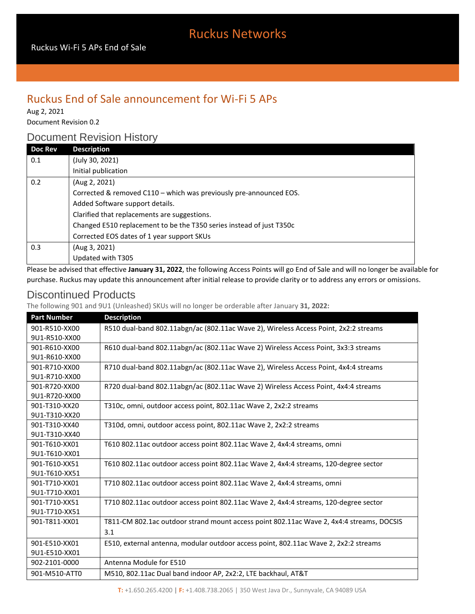# Ruckus Networks

### Ruckus End of Sale announcement for Wi-Fi 5 APs

Aug 2, 2021

Document Revision 0.2

### Document Revision History

| <b>Doc Rev</b> | <b>Description</b>                                                   |
|----------------|----------------------------------------------------------------------|
| 0.1            | (July 30, 2021)                                                      |
|                | Initial publication                                                  |
| 0.2            | (Aug 2, 2021)                                                        |
|                | Corrected & removed C110 – which was previously pre-announced EOS.   |
|                | Added Software support details.                                      |
|                | Clarified that replacements are suggestions.                         |
|                | Changed E510 replacement to be the T350 series instead of just T350c |
|                | Corrected EOS dates of 1 year support SKUs                           |
| 0.3            | (Aug 3, 2021)                                                        |
|                | Updated with T305                                                    |

Please be advised that effective **January 31, 2022**, the following Access Points will go End of Sale and will no longer be available for purchase. Ruckus may update this announcement after initial release to provide clarity or to address any errors or omissions.

#### Discontinued Products

The following 901 and 9U1 (Unleashed) SKUs will no longer be orderable after January **31, 2022:**

| <b>Part Number</b> | <b>Description</b>                                                                       |
|--------------------|------------------------------------------------------------------------------------------|
| 901-R510-XX00      | R510 dual-band 802.11abgn/ac (802.11ac Wave 2), Wireless Access Point, 2x2:2 streams     |
| 9U1-R510-XX00      |                                                                                          |
| 901-R610-XX00      | R610 dual-band 802.11abgn/ac (802.11ac Wave 2) Wireless Access Point, 3x3:3 streams      |
| 9U1-R610-XX00      |                                                                                          |
| 901-R710-XX00      | R710 dual-band 802.11abgn/ac (802.11ac Wave 2), Wireless Access Point, 4x4:4 streams     |
| 9U1-R710-XX00      |                                                                                          |
| 901-R720-XX00      | R720 dual-band 802.11abgn/ac (802.11ac Wave 2) Wireless Access Point, 4x4:4 streams      |
| 9U1-R720-XX00      |                                                                                          |
| 901-T310-XX20      | T310c, omni, outdoor access point, 802.11ac Wave 2, 2x2:2 streams                        |
| 9U1-T310-XX20      |                                                                                          |
| 901-T310-XX40      | T310d, omni, outdoor access point, 802.11ac Wave 2, 2x2:2 streams                        |
| 9U1-T310-XX40      |                                                                                          |
| 901-T610-XX01      | T610 802.11ac outdoor access point 802.11ac Wave 2, 4x4:4 streams, omni                  |
| 9U1-T610-XX01      |                                                                                          |
| 901-T610-XX51      | T610 802.11ac outdoor access point 802.11ac Wave 2, 4x4:4 streams, 120-degree sector     |
| 9U1-T610-XX51      |                                                                                          |
| 901-T710-XX01      | T710 802.11ac outdoor access point 802.11ac Wave 2, 4x4:4 streams, omni                  |
| 9U1-T710-XX01      |                                                                                          |
| 901-T710-XX51      | T710 802.11ac outdoor access point 802.11ac Wave 2, 4x4:4 streams, 120-degree sector     |
| 9U1-T710-XX51      |                                                                                          |
| 901-T811-XX01      | T811-CM 802.1ac outdoor strand mount access point 802.11ac Wave 2, 4x4:4 streams, DOCSIS |
|                    | 3.1                                                                                      |
| 901-E510-XX01      | E510, external antenna, modular outdoor access point, 802.11ac Wave 2, 2x2:2 streams     |
| 9U1-E510-XX01      |                                                                                          |
| 902-2101-0000      | Antenna Module for E510                                                                  |
| 901-M510-ATT0      | M510, 802.11ac Dual band indoor AP, 2x2:2, LTE backhaul, AT&T                            |

**T:** +1.650.265.4200 | **F:** +1.408.738.2065 | 350 West Java Dr., Sunnyvale, CA 94089 USA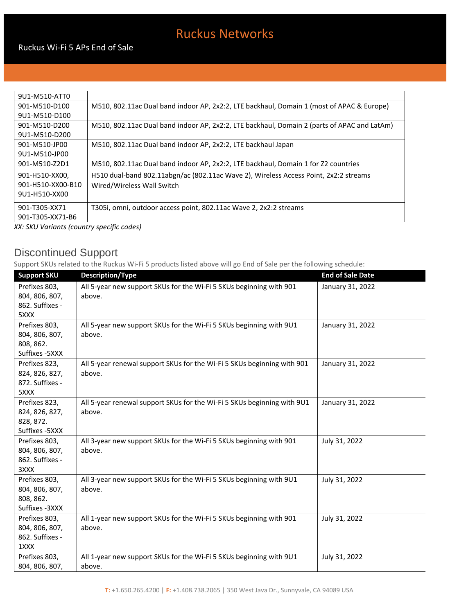# Ruckus Networks

| M510, 802.11ac Dual band indoor AP, 2x2:2, LTE backhaul, Domain 1 (most of APAC & Europe)   |
|---------------------------------------------------------------------------------------------|
|                                                                                             |
| M510, 802.11ac Dual band indoor AP, 2x2:2, LTE backhaul, Domain 2 (parts of APAC and LatAm) |
|                                                                                             |
| M510, 802.11ac Dual band indoor AP, 2x2:2, LTE backhaul Japan                               |
|                                                                                             |
| M510, 802.11ac Dual band indoor AP, 2x2:2, LTE backhaul, Domain 1 for Z2 countries          |
| H510 dual-band 802.11abgn/ac (802.11ac Wave 2), Wireless Access Point, 2x2:2 streams        |
| Wired/Wireless Wall Switch                                                                  |
|                                                                                             |
| T305i, omni, outdoor access point, 802.11ac Wave 2, 2x2:2 streams                           |
|                                                                                             |
|                                                                                             |

*XX: SKU Variants (country specific codes)*

## Discontinued Support

Support SKUs related to the Ruckus Wi-Fi 5 products listed above will go End of Sale per the following schedule:

| <b>Support SKU</b> | <b>Description/Type</b>                                                 | <b>End of Sale Date</b> |
|--------------------|-------------------------------------------------------------------------|-------------------------|
| Prefixes 803,      | All 5-year new support SKUs for the Wi-Fi 5 SKUs beginning with 901     | January 31, 2022        |
| 804, 806, 807,     | above.                                                                  |                         |
| 862. Suffixes -    |                                                                         |                         |
| 5XXX               |                                                                         |                         |
| Prefixes 803,      | All 5-year new support SKUs for the Wi-Fi 5 SKUs beginning with 9U1     | January 31, 2022        |
| 804, 806, 807,     | above.                                                                  |                         |
| 808, 862.          |                                                                         |                         |
| Suffixes - 5XXX    |                                                                         |                         |
| Prefixes 823,      | All 5-year renewal support SKUs for the Wi-Fi 5 SKUs beginning with 901 | January 31, 2022        |
| 824, 826, 827,     | above.                                                                  |                         |
| 872. Suffixes -    |                                                                         |                         |
| 5XXX               |                                                                         |                         |
| Prefixes 823,      | All 5-year renewal support SKUs for the Wi-Fi 5 SKUs beginning with 9U1 | January 31, 2022        |
| 824, 826, 827,     | above.                                                                  |                         |
| 828, 872.          |                                                                         |                         |
| Suffixes - 5XXX    |                                                                         |                         |
| Prefixes 803,      | All 3-year new support SKUs for the Wi-Fi 5 SKUs beginning with 901     | July 31, 2022           |
| 804, 806, 807,     | above.                                                                  |                         |
| 862. Suffixes -    |                                                                         |                         |
| 3XXX               |                                                                         |                         |
| Prefixes 803,      | All 3-year new support SKUs for the Wi-Fi 5 SKUs beginning with 9U1     | July 31, 2022           |
| 804, 806, 807,     | above.                                                                  |                         |
| 808, 862.          |                                                                         |                         |
| Suffixes - 3XXX    |                                                                         |                         |
| Prefixes 803,      | All 1-year new support SKUs for the Wi-Fi 5 SKUs beginning with 901     | July 31, 2022           |
| 804, 806, 807,     | above.                                                                  |                         |
| 862. Suffixes -    |                                                                         |                         |
| 1XXX               |                                                                         |                         |
| Prefixes 803,      | All 1-year new support SKUs for the Wi-Fi 5 SKUs beginning with 9U1     | July 31, 2022           |
| 804, 806, 807,     | above.                                                                  |                         |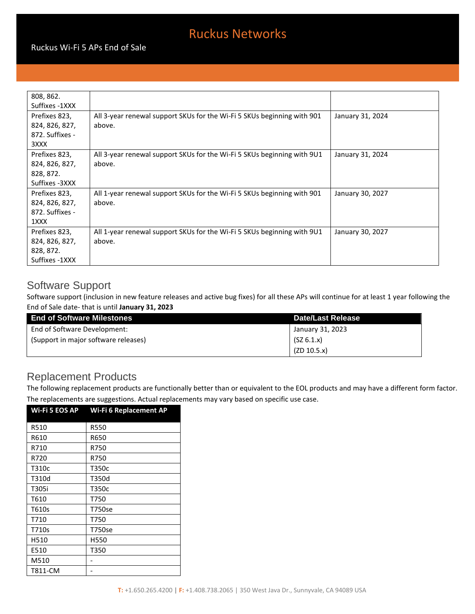# Ruckus Networks

| 808, 862.       |                                                                         |                  |
|-----------------|-------------------------------------------------------------------------|------------------|
| Suffixes -1XXX  |                                                                         |                  |
| Prefixes 823,   | All 3-year renewal support SKUs for the Wi-Fi 5 SKUs beginning with 901 | January 31, 2024 |
| 824, 826, 827,  | above.                                                                  |                  |
| 872. Suffixes - |                                                                         |                  |
| 3XXX            |                                                                         |                  |
| Prefixes 823,   | All 3-year renewal support SKUs for the Wi-Fi 5 SKUs beginning with 9U1 | January 31, 2024 |
| 824, 826, 827,  | above.                                                                  |                  |
| 828, 872.       |                                                                         |                  |
| Suffixes -3XXX  |                                                                         |                  |
| Prefixes 823,   | All 1-year renewal support SKUs for the Wi-Fi 5 SKUs beginning with 901 | January 30, 2027 |
| 824, 826, 827,  | above.                                                                  |                  |
| 872. Suffixes - |                                                                         |                  |
| 1XXX            |                                                                         |                  |
| Prefixes 823,   | All 1-year renewal support SKUs for the Wi-Fi 5 SKUs beginning with 9U1 | January 30, 2027 |
| 824, 826, 827,  | above.                                                                  |                  |
| 828, 872.       |                                                                         |                  |
| Suffixes -1XXX  |                                                                         |                  |

#### Software Support

Software support (inclusion in new feature releases and active bug fixes) for all these APs will continue for at least 1 year following the End of Sale date- that is until **January 31, 2023**

| <b>End of Software Milestones</b>    | Date/Last Release |
|--------------------------------------|-------------------|
| End of Software Development:         | January 31, 2023  |
| (Support in major software releases) | (SZ 6.1.x)        |
|                                      | (ZD 10.5.x)       |

### Replacement Products

The following replacement products are functionally better than or equivalent to the EOL products and may have a different form factor. The replacements are suggestions. Actual replacements may vary based on specific use case.

| Wi-Fi 5 EOS AP | Wi-Fi 6 Replacement AP |
|----------------|------------------------|
| R510           | <b>R550</b>            |
| R610           | R650                   |
| R710           | R750                   |
| R720           | R750                   |
| T310c          | T350c                  |
| T310d          | T350d                  |
| T305i          | T350c                  |
| T610           | T750                   |
| T610s          | T750se                 |
| T710           | T750                   |
| T710s          | T750se                 |
| H510           | H550                   |
| E510           | T350                   |
| M510           |                        |
| T811-CM        |                        |